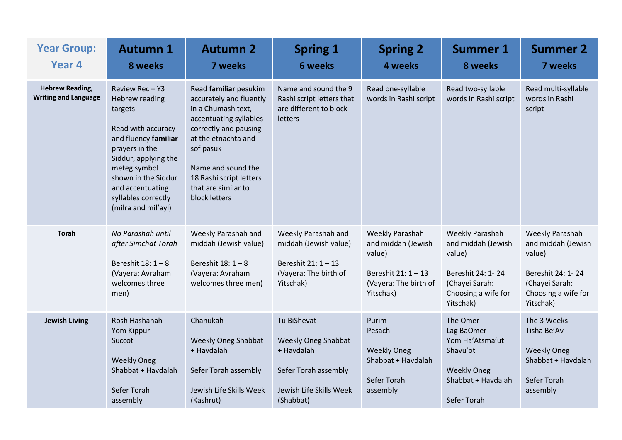| <b>Year Group:</b><br>Year <sub>4</sub>               | <b>Autumn 1</b><br>8 weeks                                                                                                                                                                                                                         | <b>Autumn 2</b><br><b>7 weeks</b>                                                                                                                                                                                                                      | <b>Spring 1</b><br><b>6 weeks</b>                                                                                       | <b>Spring 2</b><br>4 weeks                                                                                   | <b>Summer 1</b><br>8 weeks                                                                                                 | <b>Summer 2</b><br>7 weeks                                                                                                        |
|-------------------------------------------------------|----------------------------------------------------------------------------------------------------------------------------------------------------------------------------------------------------------------------------------------------------|--------------------------------------------------------------------------------------------------------------------------------------------------------------------------------------------------------------------------------------------------------|-------------------------------------------------------------------------------------------------------------------------|--------------------------------------------------------------------------------------------------------------|----------------------------------------------------------------------------------------------------------------------------|-----------------------------------------------------------------------------------------------------------------------------------|
| <b>Hebrew Reading,</b><br><b>Writing and Language</b> | Review Rec-Y3<br><b>Hebrew reading</b><br>targets<br>Read with accuracy<br>and fluency familiar<br>prayers in the<br>Siddur, applying the<br>meteg symbol<br>shown in the Siddur<br>and accentuating<br>syllables correctly<br>(milra and mil'ayl) | Read familiar pesukim<br>accurately and fluently<br>in a Chumash text,<br>accentuating syllables<br>correctly and pausing<br>at the etnachta and<br>sof pasuk<br>Name and sound the<br>18 Rashi script letters<br>that are similar to<br>block letters | Name and sound the 9<br>Rashi script letters that<br>are different to block<br>letters                                  | Read one-syllable<br>words in Rashi script                                                                   | Read two-syllable<br>words in Rashi script                                                                                 | Read multi-syllable<br>words in Rashi<br>script                                                                                   |
| <b>Torah</b>                                          | No Parashah until<br>after Simchat Torah<br>Bereshit $18:1-8$<br>(Vayera: Avraham<br>welcomes three<br>men)                                                                                                                                        | Weekly Parashah and<br>middah (Jewish value)<br>Bereshit 18: 1 - 8<br>(Vayera: Avraham<br>welcomes three men)                                                                                                                                          | Weekly Parashah and<br>middah (Jewish value)<br>Bereshit 21: 1 - 13<br>(Vayera: The birth of<br>Yitschak)               | Weekly Parashah<br>and middah (Jewish<br>value)<br>Bereshit 21: 1 - 13<br>(Vayera: The birth of<br>Yitschak) | Weekly Parashah<br>and middah (Jewish<br>value)<br>Bereshit 24: 1-24<br>(Chayei Sarah:<br>Choosing a wife for<br>Yitschak) | <b>Weekly Parashah</b><br>and middah (Jewish<br>value)<br>Bereshit 24: 1-24<br>(Chayei Sarah:<br>Choosing a wife for<br>Yitschak) |
| <b>Jewish Living</b>                                  | Rosh Hashanah<br>Yom Kippur<br>Succot<br><b>Weekly Oneg</b><br>Shabbat + Havdalah<br>Sefer Torah<br>assembly                                                                                                                                       | Chanukah<br><b>Weekly Oneg Shabbat</b><br>+ Havdalah<br>Sefer Torah assembly<br>Jewish Life Skills Week<br>(Kashrut)                                                                                                                                   | Tu BiShevat<br><b>Weekly Oneg Shabbat</b><br>+ Havdalah<br>Sefer Torah assembly<br>Jewish Life Skills Week<br>(Shabbat) | Purim<br>Pesach<br><b>Weekly Oneg</b><br>Shabbat + Havdalah<br>Sefer Torah<br>assembly                       | The Omer<br>Lag BaOmer<br>Yom Ha'Atsma'ut<br>Shavu'ot<br><b>Weekly Oneg</b><br>Shabbat + Havdalah<br>Sefer Torah           | The 3 Weeks<br>Tisha Be'Av<br><b>Weekly Oneg</b><br>Shabbat + Havdalah<br>Sefer Torah<br>assembly                                 |